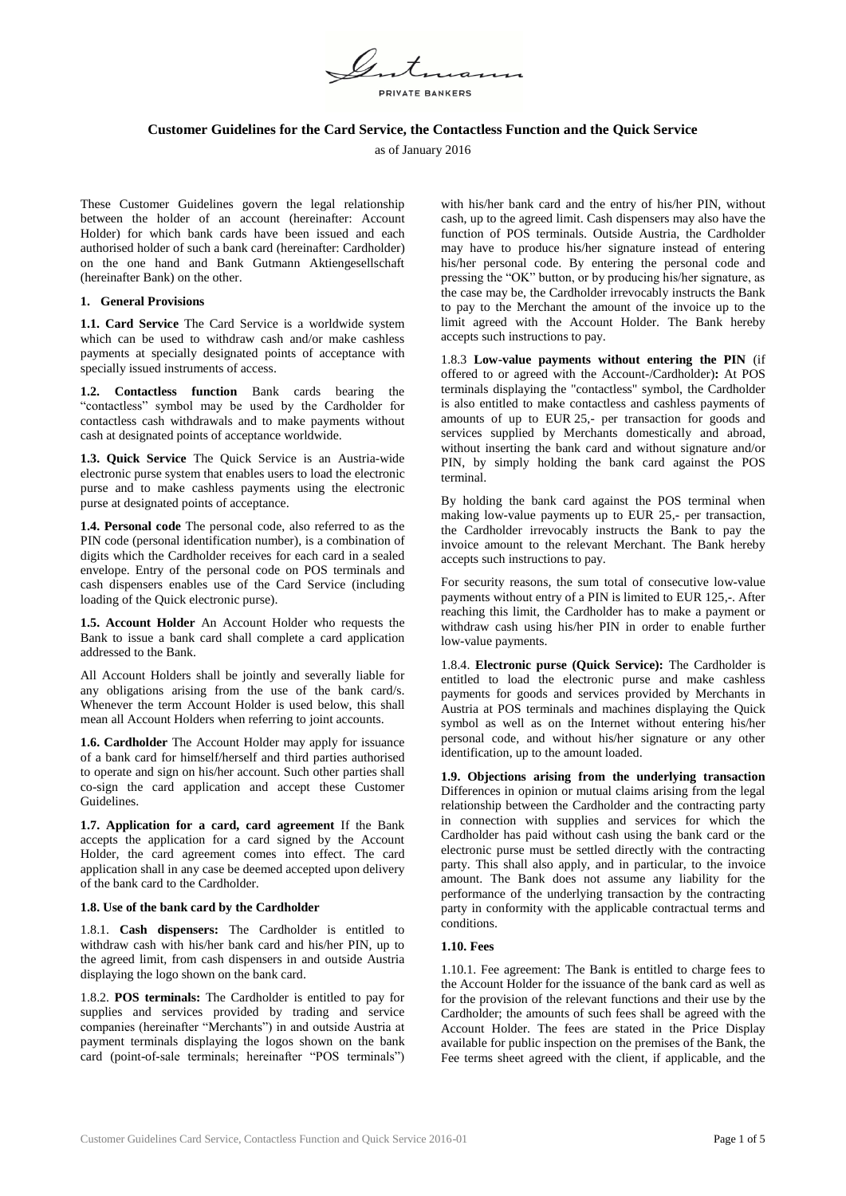PRIVATE BANKERS

# **Customer Guidelines for the Card Service, the Contactless Function and the Quick Service**

as of January 2016

These Customer Guidelines govern the legal relationship between the holder of an account (hereinafter: Account Holder) for which bank cards have been issued and each authorised holder of such a bank card (hereinafter: Cardholder) on the one hand and Bank Gutmann Aktiengesellschaft (hereinafter Bank) on the other.

# **1. General Provisions**

**1.1. Card Service** The Card Service is a worldwide system which can be used to withdraw cash and/or make cashless payments at specially designated points of acceptance with specially issued instruments of access.

**1.2. Contactless function** Bank cards bearing the "contactless" symbol may be used by the Cardholder for contactless cash withdrawals and to make payments without cash at designated points of acceptance worldwide.

**1.3. Quick Service** The Quick Service is an Austria-wide electronic purse system that enables users to load the electronic purse and to make cashless payments using the electronic purse at designated points of acceptance.

**1.4. Personal code** The personal code, also referred to as the PIN code (personal identification number), is a combination of digits which the Cardholder receives for each card in a sealed envelope. Entry of the personal code on POS terminals and cash dispensers enables use of the Card Service (including loading of the Quick electronic purse).

**1.5. Account Holder** An Account Holder who requests the Bank to issue a bank card shall complete a card application addressed to the Bank.

All Account Holders shall be jointly and severally liable for any obligations arising from the use of the bank card/s. Whenever the term Account Holder is used below, this shall mean all Account Holders when referring to joint accounts.

**1.6. Cardholder** The Account Holder may apply for issuance of a bank card for himself/herself and third parties authorised to operate and sign on his/her account. Such other parties shall co-sign the card application and accept these Customer Guidelines.

**1.7. Application for a card, card agreement** If the Bank accepts the application for a card signed by the Account Holder, the card agreement comes into effect. The card application shall in any case be deemed accepted upon delivery of the bank card to the Cardholder.

### **1.8. Use of the bank card by the Cardholder**

1.8.1. **Cash dispensers:** The Cardholder is entitled to withdraw cash with his/her bank card and his/her PIN, up to the agreed limit, from cash dispensers in and outside Austria displaying the logo shown on the bank card.

1.8.2. **POS terminals:** The Cardholder is entitled to pay for supplies and services provided by trading and service companies (hereinafter "Merchants") in and outside Austria at payment terminals displaying the logos shown on the bank card (point-of-sale terminals; hereinafter "POS terminals")

with his/her bank card and the entry of his/her PIN, without cash, up to the agreed limit. Cash dispensers may also have the function of POS terminals. Outside Austria, the Cardholder may have to produce his/her signature instead of entering his/her personal code. By entering the personal code and pressing the "OK" button, or by producing his/her signature, as the case may be, the Cardholder irrevocably instructs the Bank to pay to the Merchant the amount of the invoice up to the limit agreed with the Account Holder. The Bank hereby accepts such instructions to pay.

1.8.3 **Low-value payments without entering the PIN** (if offered to or agreed with the Account-/Cardholder)**:** At POS terminals displaying the "contactless" symbol, the Cardholder is also entitled to make contactless and cashless payments of amounts of up to EUR 25,- per transaction for goods and services supplied by Merchants domestically and abroad, without inserting the bank card and without signature and/or PIN, by simply holding the bank card against the POS terminal.

By holding the bank card against the POS terminal when making low-value payments up to EUR 25,- per transaction, the Cardholder irrevocably instructs the Bank to pay the invoice amount to the relevant Merchant. The Bank hereby accepts such instructions to pay.

For security reasons, the sum total of consecutive low-value payments without entry of a PIN is limited to EUR 125,-. After reaching this limit, the Cardholder has to make a payment or withdraw cash using his/her PIN in order to enable further low-value payments.

1.8.4. **Electronic purse (Quick Service):** The Cardholder is entitled to load the electronic purse and make cashless payments for goods and services provided by Merchants in Austria at POS terminals and machines displaying the Quick symbol as well as on the Internet without entering his/her personal code, and without his/her signature or any other identification, up to the amount loaded.

**1.9. Objections arising from the underlying transaction**  Differences in opinion or mutual claims arising from the legal relationship between the Cardholder and the contracting party in connection with supplies and services for which the Cardholder has paid without cash using the bank card or the electronic purse must be settled directly with the contracting party. This shall also apply, and in particular, to the invoice amount. The Bank does not assume any liability for the performance of the underlying transaction by the contracting party in conformity with the applicable contractual terms and conditions.

### **1.10. Fees**

1.10.1. Fee agreement: The Bank is entitled to charge fees to the Account Holder for the issuance of the bank card as well as for the provision of the relevant functions and their use by the Cardholder; the amounts of such fees shall be agreed with the Account Holder. The fees are stated in the Price Display available for public inspection on the premises of the Bank, the Fee terms sheet agreed with the client, if applicable, and the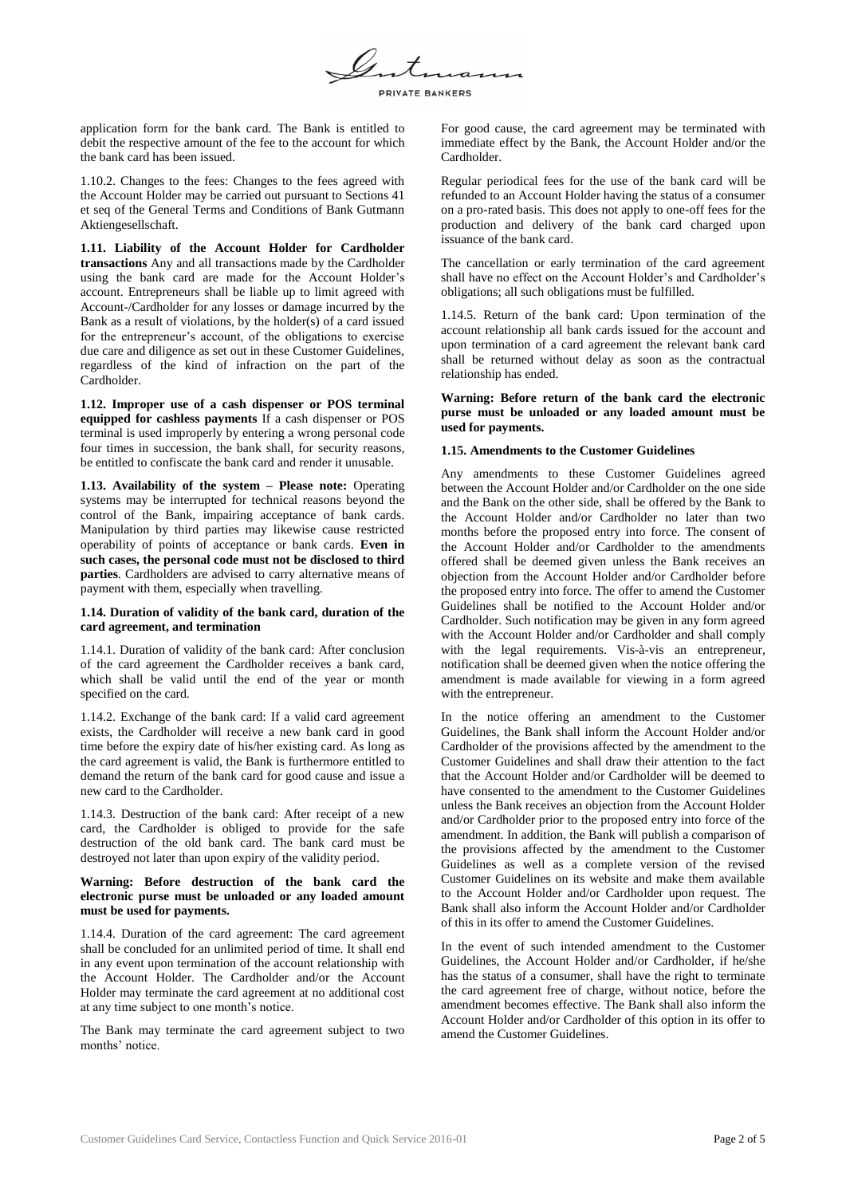PRIVATE BANKERS

application form for the bank card. The Bank is entitled to debit the respective amount of the fee to the account for which the bank card has been issued.

1.10.2. Changes to the fees: Changes to the fees agreed with the Account Holder may be carried out pursuant to Sections 41 et seq of the General Terms and Conditions of Bank Gutmann Aktiengesellschaft.

**1.11. Liability of the Account Holder for Cardholder transactions** Any and all transactions made by the Cardholder using the bank card are made for the Account Holder's account. Entrepreneurs shall be liable up to limit agreed with Account-/Cardholder for any losses or damage incurred by the Bank as a result of violations, by the holder(s) of a card issued for the entrepreneur's account, of the obligations to exercise due care and diligence as set out in these Customer Guidelines, regardless of the kind of infraction on the part of the Cardholder.

**1.12. Improper use of a cash dispenser or POS terminal equipped for cashless payments** If a cash dispenser or POS terminal is used improperly by entering a wrong personal code four times in succession, the bank shall, for security reasons, be entitled to confiscate the bank card and render it unusable.

**1.13. Availability of the system – Please note:** Operating systems may be interrupted for technical reasons beyond the control of the Bank, impairing acceptance of bank cards. Manipulation by third parties may likewise cause restricted operability of points of acceptance or bank cards. **Even in such cases, the personal code must not be disclosed to third parties**. Cardholders are advised to carry alternative means of payment with them, especially when travelling.

# **1.14. Duration of validity of the bank card, duration of the card agreement, and termination**

1.14.1. Duration of validity of the bank card: After conclusion of the card agreement the Cardholder receives a bank card, which shall be valid until the end of the year or month specified on the card.

1.14.2. Exchange of the bank card: If a valid card agreement exists, the Cardholder will receive a new bank card in good time before the expiry date of his/her existing card. As long as the card agreement is valid, the Bank is furthermore entitled to demand the return of the bank card for good cause and issue a new card to the Cardholder.

1.14.3. Destruction of the bank card: After receipt of a new card, the Cardholder is obliged to provide for the safe destruction of the old bank card. The bank card must be destroyed not later than upon expiry of the validity period.

# **Warning: Before destruction of the bank card the electronic purse must be unloaded or any loaded amount must be used for payments.**

1.14.4. Duration of the card agreement: The card agreement shall be concluded for an unlimited period of time. It shall end in any event upon termination of the account relationship with the Account Holder. The Cardholder and/or the Account Holder may terminate the card agreement at no additional cost at any time subject to one month's notice.

The Bank may terminate the card agreement subject to two months' notice

For good cause, the card agreement may be terminated with immediate effect by the Bank, the Account Holder and/or the Cardholder.

Regular periodical fees for the use of the bank card will be refunded to an Account Holder having the status of a consumer on a pro-rated basis. This does not apply to one-off fees for the production and delivery of the bank card charged upon issuance of the bank card.

The cancellation or early termination of the card agreement shall have no effect on the Account Holder's and Cardholder's obligations; all such obligations must be fulfilled.

1.14.5. Return of the bank card: Upon termination of the account relationship all bank cards issued for the account and upon termination of a card agreement the relevant bank card shall be returned without delay as soon as the contractual relationship has ended.

# **Warning: Before return of the bank card the electronic purse must be unloaded or any loaded amount must be used for payments.**

# **1.15. Amendments to the Customer Guidelines**

Any amendments to these Customer Guidelines agreed between the Account Holder and/or Cardholder on the one side and the Bank on the other side, shall be offered by the Bank to the Account Holder and/or Cardholder no later than two months before the proposed entry into force. The consent of the Account Holder and/or Cardholder to the amendments offered shall be deemed given unless the Bank receives an objection from the Account Holder and/or Cardholder before the proposed entry into force. The offer to amend the Customer Guidelines shall be notified to the Account Holder and/or Cardholder. Such notification may be given in any form agreed with the Account Holder and/or Cardholder and shall comply with the legal requirements. Vis-à-vis an entrepreneur, notification shall be deemed given when the notice offering the amendment is made available for viewing in a form agreed with the entrepreneur.

In the notice offering an amendment to the Customer Guidelines, the Bank shall inform the Account Holder and/or Cardholder of the provisions affected by the amendment to the Customer Guidelines and shall draw their attention to the fact that the Account Holder and/or Cardholder will be deemed to have consented to the amendment to the Customer Guidelines unless the Bank receives an objection from the Account Holder and/or Cardholder prior to the proposed entry into force of the amendment. In addition, the Bank will publish a comparison of the provisions affected by the amendment to the Customer Guidelines as well as a complete version of the revised Customer Guidelines on its website and make them available to the Account Holder and/or Cardholder upon request. The Bank shall also inform the Account Holder and/or Cardholder of this in its offer to amend the Customer Guidelines.

In the event of such intended amendment to the Customer Guidelines, the Account Holder and/or Cardholder, if he/she has the status of a consumer, shall have the right to terminate the card agreement free of charge, without notice, before the amendment becomes effective. The Bank shall also inform the Account Holder and/or Cardholder of this option in its offer to amend the Customer Guidelines.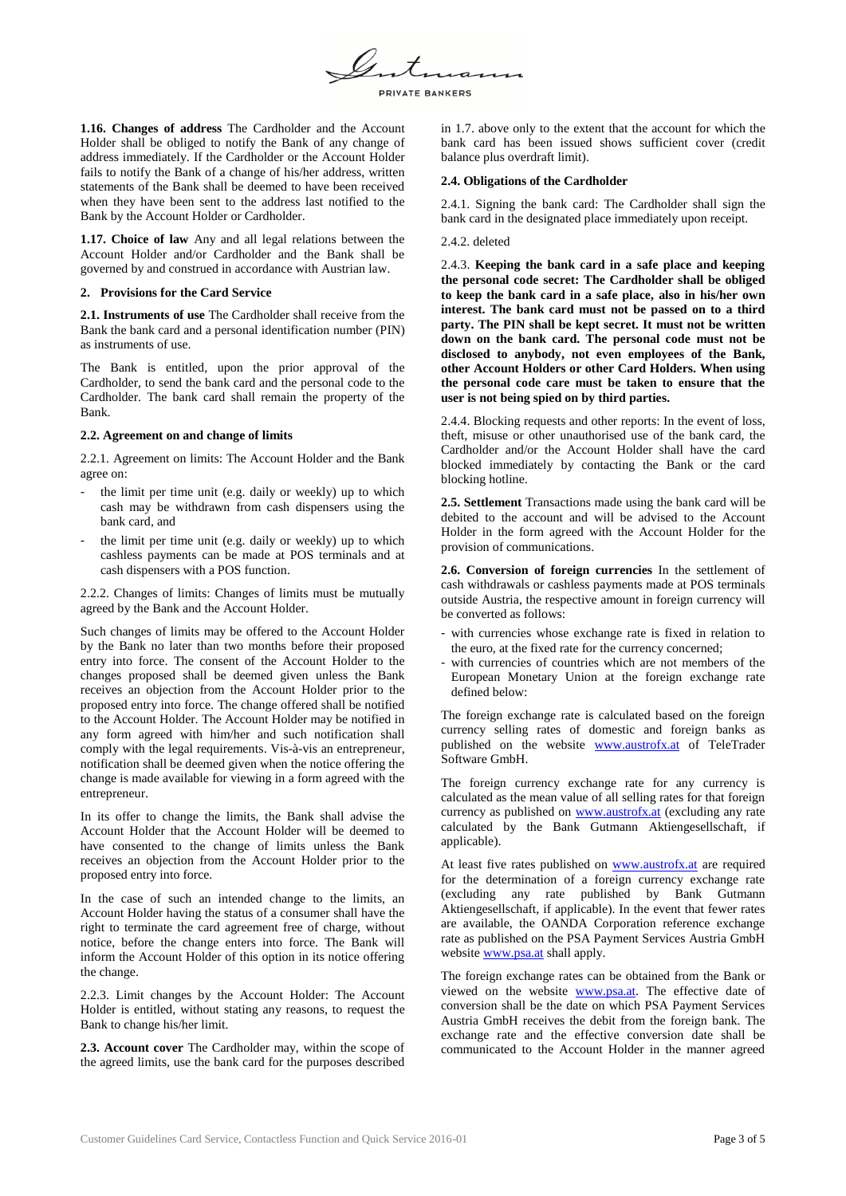PRIVATE BANKERS

**1.16. Changes of address** The Cardholder and the Account Holder shall be obliged to notify the Bank of any change of address immediately. If the Cardholder or the Account Holder fails to notify the Bank of a change of his/her address, written statements of the Bank shall be deemed to have been received when they have been sent to the address last notified to the Bank by the Account Holder or Cardholder.

**1.17. Choice of law** Any and all legal relations between the Account Holder and/or Cardholder and the Bank shall be governed by and construed in accordance with Austrian law.

# **2. Provisions for the Card Service**

**2.1. Instruments of use** The Cardholder shall receive from the Bank the bank card and a personal identification number (PIN) as instruments of use.

The Bank is entitled, upon the prior approval of the Cardholder, to send the bank card and the personal code to the Cardholder. The bank card shall remain the property of the Bank.

# **2.2. Agreement on and change of limits**

2.2.1. Agreement on limits: The Account Holder and the Bank agree on:

- the limit per time unit (e.g. daily or weekly) up to which cash may be withdrawn from cash dispensers using the bank card, and
- the limit per time unit (e.g. daily or weekly) up to which cashless payments can be made at POS terminals and at cash dispensers with a POS function.

2.2.2. Changes of limits: Changes of limits must be mutually agreed by the Bank and the Account Holder.

Such changes of limits may be offered to the Account Holder by the Bank no later than two months before their proposed entry into force. The consent of the Account Holder to the changes proposed shall be deemed given unless the Bank receives an objection from the Account Holder prior to the proposed entry into force. The change offered shall be notified to the Account Holder. The Account Holder may be notified in any form agreed with him/her and such notification shall comply with the legal requirements. Vis-à-vis an entrepreneur, notification shall be deemed given when the notice offering the change is made available for viewing in a form agreed with the entrepreneur.

In its offer to change the limits, the Bank shall advise the Account Holder that the Account Holder will be deemed to have consented to the change of limits unless the Bank receives an objection from the Account Holder prior to the proposed entry into force.

In the case of such an intended change to the limits, an Account Holder having the status of a consumer shall have the right to terminate the card agreement free of charge, without notice, before the change enters into force. The Bank will inform the Account Holder of this option in its notice offering the change.

2.2.3. Limit changes by the Account Holder: The Account Holder is entitled, without stating any reasons, to request the Bank to change his/her limit.

**2.3. Account cover** The Cardholder may, within the scope of the agreed limits, use the bank card for the purposes described

in 1.7. above only to the extent that the account for which the bank card has been issued shows sufficient cover (credit balance plus overdraft limit).

# **2.4. Obligations of the Cardholder**

2.4.1. Signing the bank card: The Cardholder shall sign the bank card in the designated place immediately upon receipt.

# 2.4.2. deleted

2.4.3. **Keeping the bank card in a safe place and keeping the personal code secret: The Cardholder shall be obliged to keep the bank card in a safe place, also in his/her own interest. The bank card must not be passed on to a third party. The PIN shall be kept secret. It must not be written down on the bank card. The personal code must not be disclosed to anybody, not even employees of the Bank, other Account Holders or other Card Holders. When using the personal code care must be taken to ensure that the user is not being spied on by third parties.**

2.4.4. Blocking requests and other reports: In the event of loss, theft, misuse or other unauthorised use of the bank card, the Cardholder and/or the Account Holder shall have the card blocked immediately by contacting the Bank or the card blocking hotline.

**2.5. Settlement** Transactions made using the bank card will be debited to the account and will be advised to the Account Holder in the form agreed with the Account Holder for the provision of communications.

**2.6. Conversion of foreign currencies** In the settlement of cash withdrawals or cashless payments made at POS terminals outside Austria, the respective amount in foreign currency will be converted as follows:

- with currencies whose exchange rate is fixed in relation to the euro, at the fixed rate for the currency concerned;
- with currencies of countries which are not members of the European Monetary Union at the foreign exchange rate defined below:

The foreign exchange rate is calculated based on the foreign currency selling rates of domestic and foreign banks as published on the website [www.austrofx.at](http://www.austrofx.at/) of TeleTrader Software GmbH.

The foreign currency exchange rate for any currency is calculated as the mean value of all selling rates for that foreign currency as published on [www.austrofx.at](http://www.austrofx.at/) (excluding any rate calculated by the Bank Gutmann Aktiengesellschaft, if applicable).

At least five rates published on [www.austrofx.at](http://www.austrofx.at/) are required for the determination of a foreign currency exchange rate (excluding any rate published by Bank Gutmann Aktiengesellschaft, if applicable). In the event that fewer rates are available, the OANDA Corporation reference exchange rate as published on the PSA Payment Services Austria GmbH website www.psa.at shall apply.

The foreign exchange rates can be obtained from the Bank or viewed on the website [www.psa.at.](http://www.psa.at/) The effective date of conversion shall be the date on which PSA Payment Services Austria GmbH receives the debit from the foreign bank. The exchange rate and the effective conversion date shall be communicated to the Account Holder in the manner agreed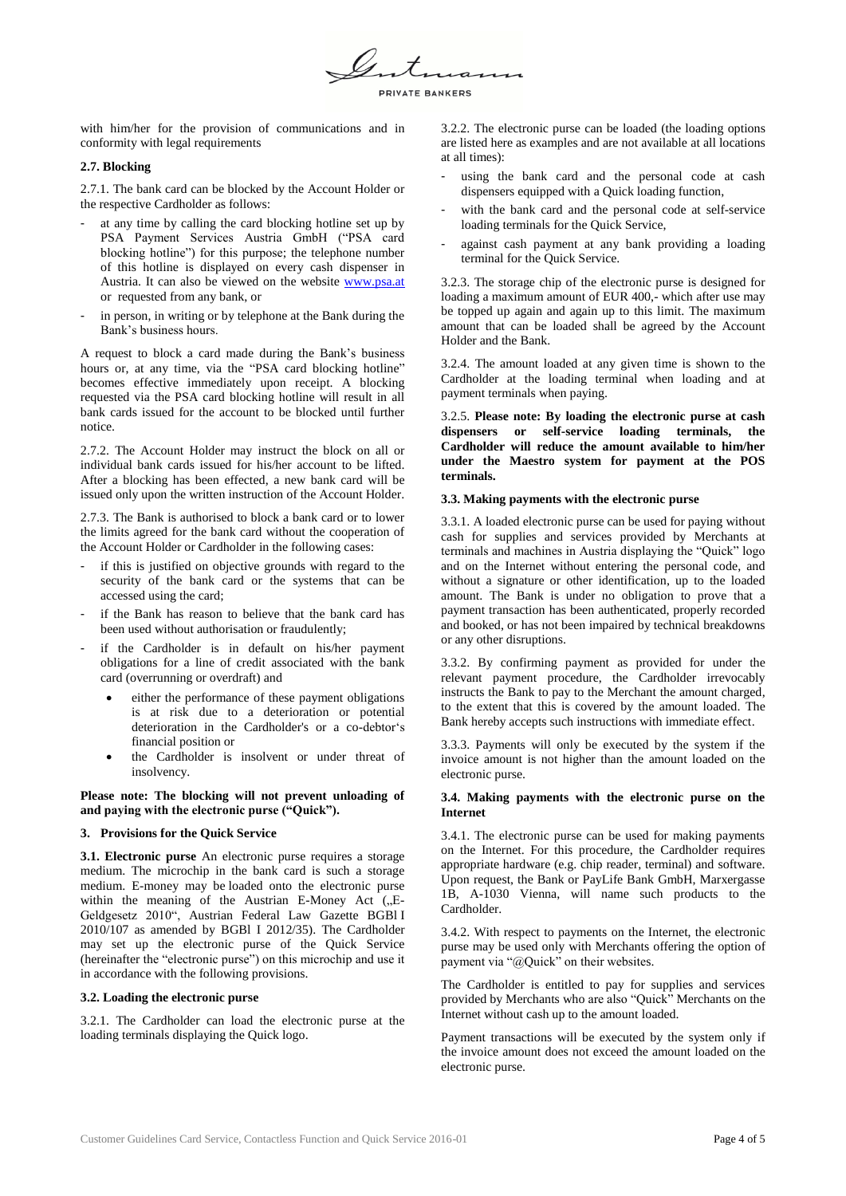PRIVATE BANKERS

with him/her for the provision of communications and in conformity with legal requirements

### **2.7. Blocking**

2.7.1. The bank card can be blocked by the Account Holder or the respective Cardholder as follows:

- at any time by calling the card blocking hotline set up by PSA Payment Services Austria GmbH ("PSA card blocking hotline") for this purpose; the telephone number of this hotline is displayed on every cash dispenser in Austria. It can also be viewed on the website [www.psa.at](http://www.psa.at/) or requested from any bank, or
- in person, in writing or by telephone at the Bank during the Bank's business hours.

A request to block a card made during the Bank's business hours or, at any time, via the "PSA card blocking hotline" becomes effective immediately upon receipt. A blocking requested via the PSA card blocking hotline will result in all bank cards issued for the account to be blocked until further notice.

2.7.2. The Account Holder may instruct the block on all or individual bank cards issued for his/her account to be lifted. After a blocking has been effected, a new bank card will be issued only upon the written instruction of the Account Holder.

2.7.3. The Bank is authorised to block a bank card or to lower the limits agreed for the bank card without the cooperation of the Account Holder or Cardholder in the following cases:

- if this is justified on objective grounds with regard to the security of the bank card or the systems that can be accessed using the card;
- if the Bank has reason to believe that the bank card has been used without authorisation or fraudulently;
- if the Cardholder is in default on his/her payment obligations for a line of credit associated with the bank card (overrunning or overdraft) and
	- either the performance of these payment obligations is at risk due to a deterioration or potential deterioration in the Cardholder's or a co-debtor's financial position or
	- the Cardholder is insolvent or under threat of insolvency.

**Please note: The blocking will not prevent unloading of and paying with the electronic purse ("Quick").**

# **3. Provisions for the Quick Service**

**3.1. Electronic purse** An electronic purse requires a storage medium. The microchip in the bank card is such a storage medium. E-money may be loaded onto the electronic purse within the meaning of the Austrian E-Money Act  $(L, E)$ Geldgesetz 2010", Austrian Federal Law Gazette BGBl I 2010/107 as amended by BGBl I 2012/35). The Cardholder may set up the electronic purse of the Quick Service (hereinafter the "electronic purse") on this microchip and use it in accordance with the following provisions.

#### **3.2. Loading the electronic purse**

3.2.1. The Cardholder can load the electronic purse at the loading terminals displaying the Quick logo.

3.2.2. The electronic purse can be loaded (the loading options are listed here as examples and are not available at all locations at all times):

- using the bank card and the personal code at cash dispensers equipped with a Quick loading function,
- with the bank card and the personal code at self-service loading terminals for the Quick Service,
- against cash payment at any bank providing a loading terminal for the Quick Service.

3.2.3. The storage chip of the electronic purse is designed for loading a maximum amount of EUR 400,- which after use may be topped up again and again up to this limit. The maximum amount that can be loaded shall be agreed by the Account Holder and the Bank.

3.2.4. The amount loaded at any given time is shown to the Cardholder at the loading terminal when loading and at payment terminals when paying.

3.2.5. **Please note: By loading the electronic purse at cash dispensers or self-service loading terminals, the Cardholder will reduce the amount available to him/her under the Maestro system for payment at the POS terminals.**

# **3.3. Making payments with the electronic purse**

3.3.1. A loaded electronic purse can be used for paying without cash for supplies and services provided by Merchants at terminals and machines in Austria displaying the "Quick" logo and on the Internet without entering the personal code, and without a signature or other identification, up to the loaded amount. The Bank is under no obligation to prove that a payment transaction has been authenticated, properly recorded and booked, or has not been impaired by technical breakdowns or any other disruptions.

3.3.2. By confirming payment as provided for under the relevant payment procedure, the Cardholder irrevocably instructs the Bank to pay to the Merchant the amount charged, to the extent that this is covered by the amount loaded. The Bank hereby accepts such instructions with immediate effect.

3.3.3. Payments will only be executed by the system if the invoice amount is not higher than the amount loaded on the electronic purse.

# **3.4. Making payments with the electronic purse on the Internet**

3.4.1. The electronic purse can be used for making payments on the Internet. For this procedure, the Cardholder requires appropriate hardware (e.g. chip reader, terminal) and software. Upon request, the Bank or PayLife Bank GmbH, Marxergasse 1B, A-1030 Vienna, will name such products to the Cardholder.

3.4.2. With respect to payments on the Internet, the electronic purse may be used only with Merchants offering the option of payment via "@Quick" on their websites.

The Cardholder is entitled to pay for supplies and services provided by Merchants who are also "Quick" Merchants on the Internet without cash up to the amount loaded.

Payment transactions will be executed by the system only if the invoice amount does not exceed the amount loaded on the electronic purse.